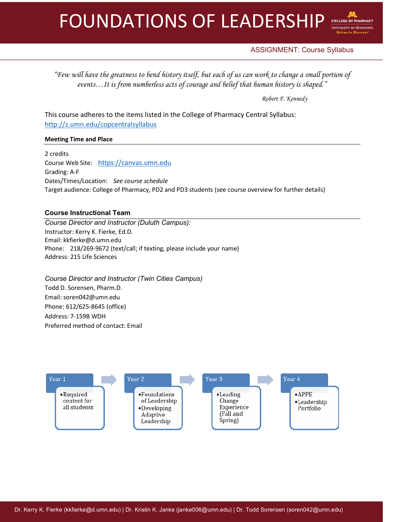

# ASSIGNMENT: Course Syllabus

*"Few will have the greatness to bend history itself, but each of us can work to change a small portion of events…It is from numberless acts of courage and belief that human history is shaped."*

*Robert F. Kennedy*

This course adheres to the items listed in the College of Pharmacy Central Syllabus: http://z.umn.edu/copcentralsyllabus

# **Meeting Time and Place**

2 credits Course Web Site: https://canvas.umn.edu Grading: A-F Dates/Times/Location: *See course schedule* Target audience: College of Pharmacy, PD2 and PD3 students (see course overview for further details)

# **Course Instructional Team**

*Course Director and Instructor (Duluth Campus):* Instructor: Kerry K. Fierke, Ed.D. Email: kkfierke@d.umn.edu Phone: 218/269-9672 (text/call; if texting, please include your name) Address: 215 Life Sciences

*Course Director and Instructor (Twin Cities Campus)* Todd D. Sorensen, Pharm.D. Email: soren042@umn.edu Phone: 612/625-8645 (office) Address: 7-159B WDH Preferred method of contact: Email

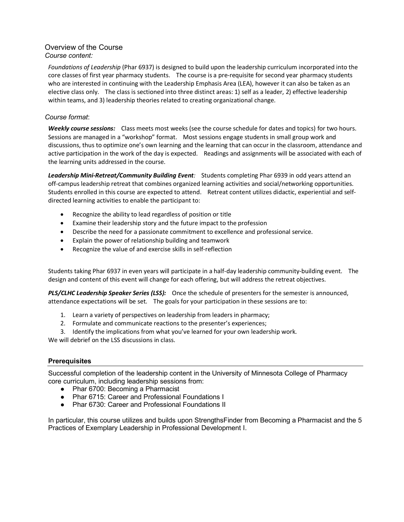# Overview of the Course *Course content:*

*Foundations of Leadership* (Phar 6937) is designed to build upon the leadership curriculum incorporated into the core classes of first year pharmacy students. The course is a pre-requisite for second year pharmacy students who are interested in continuing with the Leadership Emphasis Area (LEA), however it can also be taken as an elective class only. The class is sectioned into three distinct areas: 1) self as a leader, 2) effective leadership within teams, and 3) leadership theories related to creating organizational change.

# *Course format*:

*Weekly course sessions:* Class meets most weeks (see the course schedule for dates and topics) for two hours. Sessions are managed in a "workshop" format. Most sessions engage students in small group work and discussions, thus to optimize one's own learning and the learning that can occur in the classroom, attendance and active participation in the work of the day is expected. Readings and assignments will be associated with each of the learning units addressed in the course.

*Leadership Mini-Retreat/Community Building Event:* Students completing Phar 6939 in odd years attend an off-campus leadership retreat that combines organized learning activities and social/networking opportunities. Students enrolled in this course are expected to attend. Retreat content utilizes didactic, experiential and selfdirected learning activities to enable the participant to:

- Recognize the ability to lead regardless of position or title
- Examine their leadership story and the future impact to the profession
- Describe the need for a passionate commitment to excellence and professional service.
- Explain the power of relationship building and teamwork
- Recognize the value of and exercise skills in self-reflection

Students taking Phar 6937 in even years will participate in a half-day leadership community-building event. The design and content of this event will change for each offering, but will address the retreat objectives.

*PLS/CLHC Leadership Speaker Series (LSS):* Once the schedule of presenters for the semester is announced, attendance expectations will be set. The goals for your participation in these sessions are to:

- 1. Learn a variety of perspectives on leadership from leaders in pharmacy;
- 2. Formulate and communicate reactions to the presenter's experiences;
- 3. Identify the implications from what you've learned for your own leadership work.

We will debrief on the LSS discussions in class.

# **Prerequisites**

Successful completion of the leadership content in the University of Minnesota College of Pharmacy core curriculum, including leadership sessions from:

- Phar 6700: Becoming a Pharmacist
- Phar 6715: Career and Professional Foundations I
- Phar 6730: Career and Professional Foundations II

In particular, this course utilizes and builds upon StrengthsFinder from Becoming a Pharmacist and the 5 Practices of Exemplary Leadership in Professional Development I.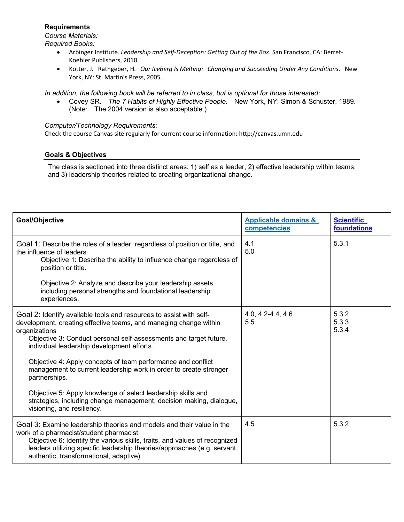# **Requirements**

*Course Materials: Required Books:*

- Arbinger Institute. *Leadership and Self-Deception: Getting Out of the Box*. San Francisco, CA: Berret-Koehler Publishers, 2010.
- Kotter, J. Rathgeber, H. *Our Iceberg Is Melting: Changing and Succeeding Under Any Conditions*. New York, NY: St. Martin's Press, 2005.

*In addition, the following book will be referred to in class, but is optional for those interested:*

• Covey SR. *The 7 Habits of Highly Effective People.* New York, NY: Simon & Schuster, 1989. (Note: The 2004 version is also acceptable.)

# *Computer/Technology Requirements:*

Check the course Canvas site regularly for current course information: http://canvas.umn.edu

# **Goals & Objectives**

The class is sectioned into three distinct areas: 1) self as a leader, 2) effective leadership within teams, and 3) leadership theories related to creating organizational change.

| Goal/Objective                                                                                                                                                                                                                                                                                                                                                                                                                     | <b>Applicable domains &amp;</b><br>competencies | <b>Scientific</b><br>foundations |
|------------------------------------------------------------------------------------------------------------------------------------------------------------------------------------------------------------------------------------------------------------------------------------------------------------------------------------------------------------------------------------------------------------------------------------|-------------------------------------------------|----------------------------------|
| Goal 1: Describe the roles of a leader, regardless of position or title, and<br>the influence of leaders<br>Objective 1: Describe the ability to influence change regardless of<br>position or title.                                                                                                                                                                                                                              | 4.1<br>5.0                                      | 5.3.1                            |
| Objective 2: Analyze and describe your leadership assets,<br>including personal strengths and foundational leadership<br>experiences.                                                                                                                                                                                                                                                                                              |                                                 |                                  |
| Goal 2: Identify available tools and resources to assist with self-<br>development, creating effective teams, and managing change within<br>organizations<br>Objective 3: Conduct personal self-assessments and target future,<br>individual leadership development efforts.<br>Objective 4: Apply concepts of team performance and conflict<br>management to current leadership work in order to create stronger<br>partnerships. | $4.0, 4.2 - 4.4, 4.6$<br>5.5                    | 5.3.2<br>5.3.3<br>5.3.4          |
| Objective 5: Apply knowledge of select leadership skills and<br>strategies, including change management, decision making, dialogue,<br>visioning, and resiliency.                                                                                                                                                                                                                                                                  |                                                 |                                  |
| Goal 3: Examine leadership theories and models and their value in the<br>work of a pharmacist/student pharmacist<br>Objective 6: Identify the various skills, traits, and values of recognized<br>leaders utilizing specific leadership theories/approaches (e.g. servant,<br>authentic, transformational, adaptive).                                                                                                              | 4.5                                             | 5.3.2                            |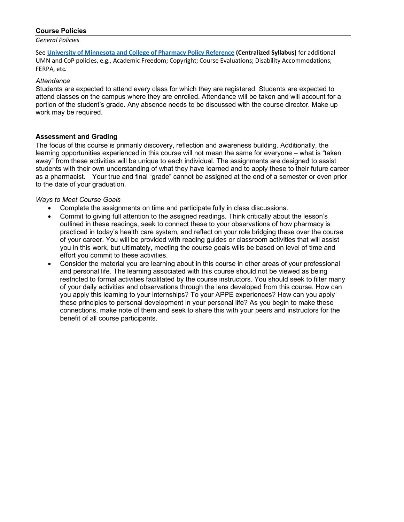#### **Course Policies**

*General Policies*

See **University of Minnesota and College of Pharmacy Policy Reference (Centralized Syllabus)** for additional UMN and CoP policies, e.g., Academic Freedom; Copyright; Course Evaluations; Disability Accommodations; FERPA, etc.

#### *Attendance*

Students are expected to attend every class for which they are registered. Students are expected to attend classes on the campus where they are enrolled. Attendance will be taken and will account for a portion of the student's grade. Any absence needs to be discussed with the course director. Make up work may be required.

#### **Assessment and Grading**

The focus of this course is primarily discovery, reflection and awareness building. Additionally, the learning opportunities experienced in this course will not mean the same for everyone – what is "taken away" from these activities will be unique to each individual. The assignments are designed to assist students with their own understanding of what they have learned and to apply these to their future career as a pharmacist. Your true and final "grade" cannot be assigned at the end of a semester or even prior to the date of your graduation.

#### *Ways to Meet Course Goals*

- Complete the assignments on time and participate fully in class discussions.
- Commit to giving full attention to the assigned readings. Think critically about the lesson's outlined in these readings, seek to connect these to your observations of how pharmacy is practiced in today's health care system, and reflect on your role bridging these over the course of your career. You will be provided with reading guides or classroom activities that will assist you in this work, but ultimately, meeting the course goals wills be based on level of time and effort you commit to these activities.
- Consider the material you are learning about in this course in other areas of your professional and personal life. The learning associated with this course should not be viewed as being restricted to formal activities facilitated by the course instructors. You should seek to filter many of your daily activities and observations through the lens developed from this course. How can you apply this learning to your internships? To your APPE experiences? How can you apply these principles to personal development in your personal life? As you begin to make these connections, make note of them and seek to share this with your peers and instructors for the benefit of all course participants.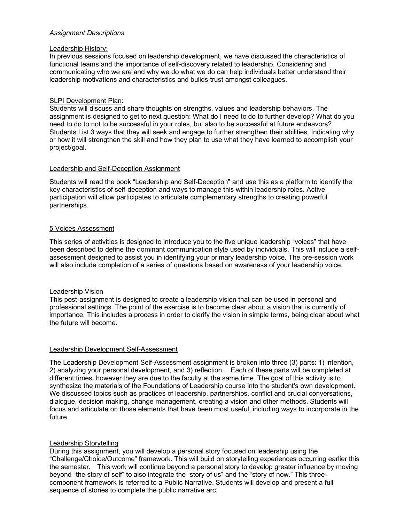# *Assignment Descriptions*

### Leadership History:

In previous sessions focused on leadership development, we have discussed the characteristics of functional teams and the importance of self-discovery related to leadership. Considering and communicating who we are and why we do what we do can help individuals better understand their leadership motivations and characteristics and builds trust amongst colleagues.

# SLPI Development Plan:

Students will discuss and share thoughts on strengths, values and leadership behaviors. The assignment is designed to get to next question: What do I need to do to further develop? What do you need to do to not to be successful in your roles, but also to be successful at future endeavors? Students List 3 ways that they will seek and engage to further strengthen their abilities. Indicating why or how it will strengthen the skill and how they plan to use what they have learned to accomplish your project/goal.

# Leadership and Self-Deception Assignment

Students will read the book "Leadership and Self-Deception" and use this as a platform to identify the key characteristics of self-deception and ways to manage this within leadership roles. Active participation will allow participates to articulate complementary strengths to creating powerful partnerships.

# 5 Voices Assessment

This series of activities is designed to introduce you to the five unique leadership "voices" that have been described to define the dominant communication style used by individuals. This will include a selfassessment designed to assist you in identifying your primary leadership voice. The pre-session work will also include completion of a series of questions based on awareness of your leadership voice.

#### Leadership Vision

This post-assignment is designed to create a leadership vision that can be used in personal and professional settings. The point of the exercise is to become clear about a vision that is currently of importance. This includes a process in order to clarify the vision in simple terms, being clear about what the future will become.

#### Leadership Development Self-Assessment

The Leadership Development Self-Assessment assignment is broken into three (3) parts: 1) intention, 2) analyzing your personal development, and 3) reflection. Each of these parts will be completed at different times, however they are due to the faculty at the same time. The goal of this activity is to synthesize the materials of the Foundations of Leadership course into the student's own development. We discussed topics such as practices of leadership, partnerships, conflict and crucial conversations, dialogue, decision making, change management, creating a vision and other methods. Students will focus and articulate on those elements that have been most useful, including ways to incorporate in the future.

#### Leadership Storytelling

During this assignment, you will develop a personal story focused on leadership using the "Challenge/Choice/Outcome" framework. This will build on storytelling experiences occurring earlier this the semester. This work will continue beyond a personal story to develop greater influence by moving beyond "the story of self" to also integrate the "story of us" and the "story of now." This threecomponent framework is referred to a Public Narrative. Students will develop and present a full sequence of stories to complete the public narrative arc.